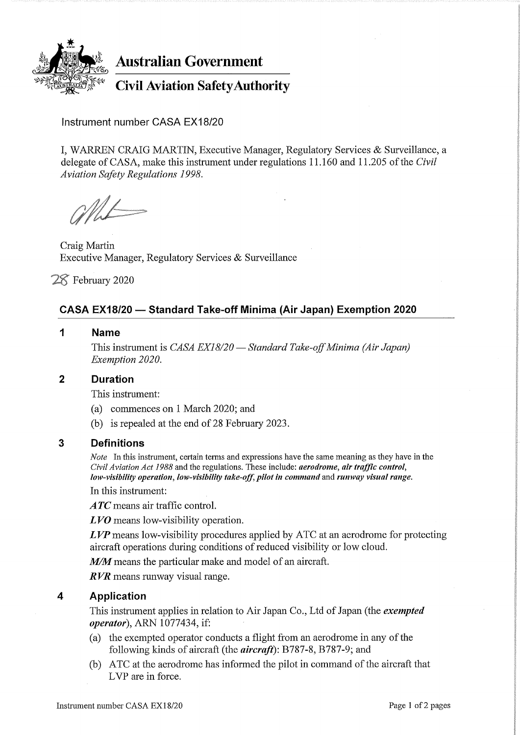

# Australian Government

Civil Aviation SafetyAuthority

Instrument number CASA EX18/20

I, WARREN CRAIG MARTIN, Executive Manager, Regulatory Services & Surveillance, a delegate of CASA, make this instrument under regulations 11.160 and 11.205 of the Civil Aviation Safety Regulations 1998.

ML

Craig Martin Executive Manager, Regulatory Services & Surveillance

7S February 2020

# CASA EX18/20 — Standard Take-off Minima (Air Japan) Exemption 2020

1 Name

This instrument is CASA EX18/20 — Standard Take-off Minima (Air Japan) Exemption 2020.

## 2 Duration

This instrument:

- (a) commences on 1 March 2020; and
- (b) is repealed at the end of 28 February 2023 .

## 3 Definitions

Note In this instrument, certain terms and expressions have the same meaning as they have in the Civil Aviation Act 1988 and the regulations. These include: aerodrome, air traffic control, low-visibility operation, low-visibility take-off, pilot in command and runway visual range.

In this instrument:

 $\bm{ATC}$  means air traffic control.

LVO means low-visibility operation.

 $LVP$  means low-visibility procedures applied by ATC at an aerodrome for protecting aircraft operations during conditions of reduced visibility or low cloud.

M/M means the particular make and model of an aircraft.

RVR means runway visual range.

## 4 Application

This instrument applies in relation to Air Japan Co., Ltd of Japan (the *exempted* operator), ARN 1077434, if:

- (a) the exempted operator conducts a flight from an aerodrome in any of the following kinds of aircraft (the  $aircraft$ ): B787-8, B787-9; and
- (b) ATC at the aerodrome has informed the pilot in command of the aircraft that LVP are in force.